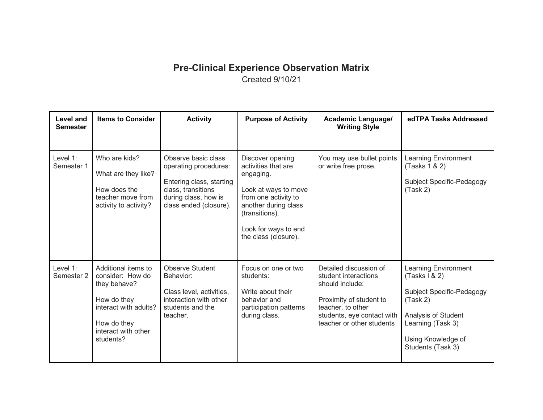## **Pre-Clinical Experience Observation Matrix** Created 9/10/21

| Level and<br><b>Semester</b> | <b>Items to Consider</b>                                                                                                                           | <b>Activity</b>                                                                                                                                  | <b>Purpose of Activity</b>                                                                                                                                                                     | Academic Language/<br><b>Writing Style</b>                                                                                                                                   | edTPA Tasks Addressed                                                                                                                                                 |
|------------------------------|----------------------------------------------------------------------------------------------------------------------------------------------------|--------------------------------------------------------------------------------------------------------------------------------------------------|------------------------------------------------------------------------------------------------------------------------------------------------------------------------------------------------|------------------------------------------------------------------------------------------------------------------------------------------------------------------------------|-----------------------------------------------------------------------------------------------------------------------------------------------------------------------|
| Level 1:<br>Semester 1       | Who are kids?<br>What are they like?<br>How does the<br>teacher move from<br>activity to activity?                                                 | Observe basic class<br>operating procedures:<br>Entering class, starting<br>class, transitions<br>during class, how is<br>class ended (closure). | Discover opening<br>activities that are<br>engaging.<br>Look at ways to move<br>from one activity to<br>another during class<br>(transitions).<br>Look for ways to end<br>the class (closure). | You may use bullet points<br>or write free prose.                                                                                                                            | Learning Environment<br>(Tasks 1 & 2)<br>Subject Specific-Pedagogy<br>(Task 2)                                                                                        |
| Level 1:<br>Semester 2       | Additional items to<br>consider: How do<br>they behave?<br>How do they<br>interact with adults?<br>How do they<br>interact with other<br>students? | <b>Observe Student</b><br>Behavior:<br>Class level, activities,<br>interaction with other<br>students and the<br>teacher.                        | Focus on one or two<br>students:<br>Write about their<br>behavior and<br>participation patterns<br>during class.                                                                               | Detailed discussion of<br>student interactions<br>should include:<br>Proximity of student to<br>teacher, to other<br>students, eye contact with<br>teacher or other students | Learning Environment<br>(Tasks 1 & 2)<br>Subject Specific-Pedagogy<br>(Task 2)<br>Analysis of Student<br>Learning (Task 3)<br>Using Knowledge of<br>Students (Task 3) |